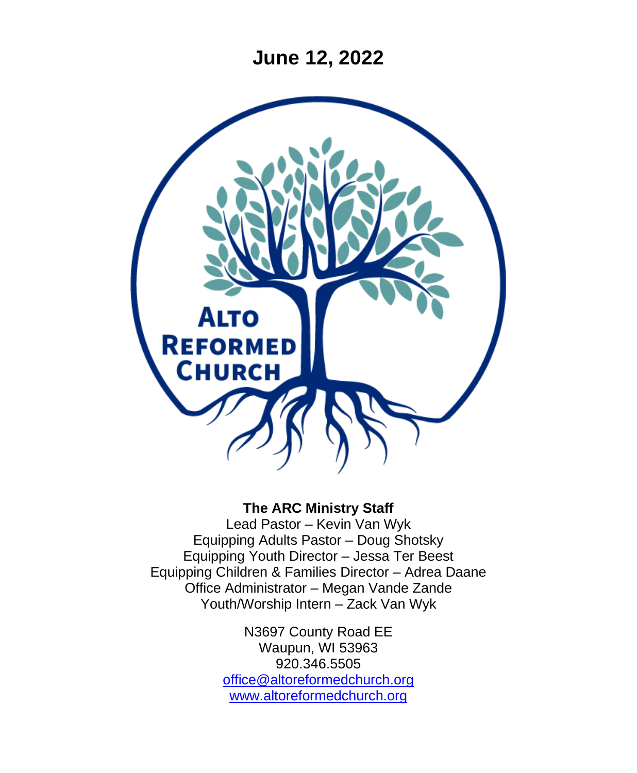**June 12, 2022**



#### **The ARC Ministry Staff**

Lead Pastor – Kevin Van Wyk Equipping Adults Pastor – Doug Shotsky Equipping Youth Director – Jessa Ter Beest Equipping Children & Families Director – Adrea Daane Office Administrator – Megan Vande Zande Youth/Worship Intern – Zack Van Wyk

> N3697 County Road EE Waupun, WI 53963 920.346.5505 [office@altoreformedchurch.org](mailto:office@altoreformedchurch.org) [www.altoreformedchurch.org](http://www.altoreformedchurch.org/)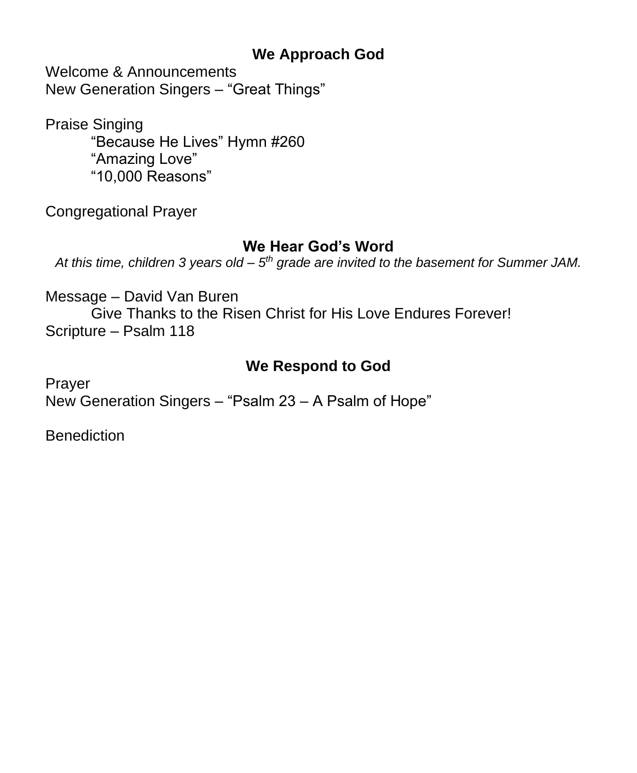#### **We Approach God**

Welcome & Announcements New Generation Singers – "Great Things"

Praise Singing "Because He Lives" Hymn #260 "Amazing Love" "10,000 Reasons"

Congregational Prayer

#### **We Hear God's Word**

At this time, children 3 years old – 5<sup>th</sup> grade are invited to the basement for Summer JAM.

Message – David Van Buren

Give Thanks to the Risen Christ for His Love Endures Forever! Scripture – Psalm 118

## **We Respond to God**

Prayer New Generation Singers – "Psalm 23 – A Psalm of Hope"

**Benediction**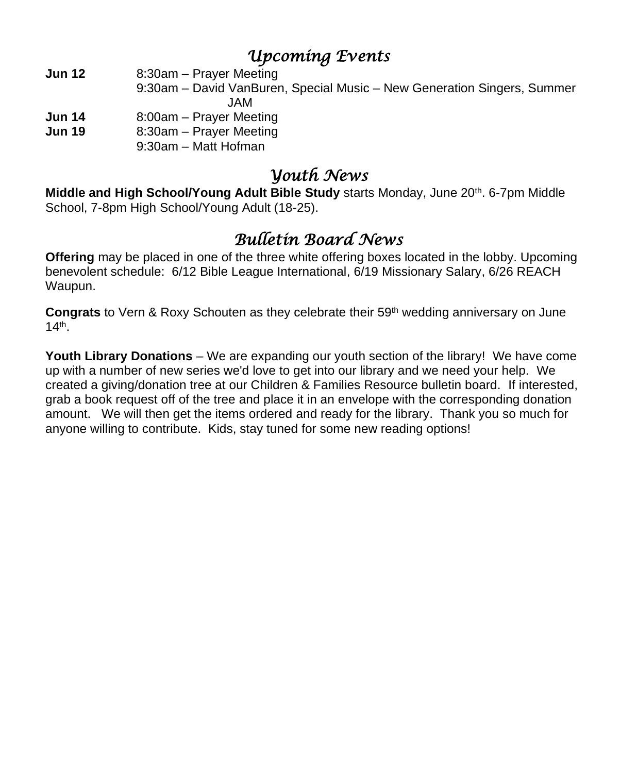## *Upcoming Events*

**Jun 12** 8:30am – Prayer Meeting

- 9:30am David VanBuren, Special Music New Generation Singers, Summer JAM
- **Jun 14** 8:00am Prayer Meeting
- **Jun 19** 8:30am Prayer Meeting
	- 9:30am Matt Hofman

### *Youth News*

**Middle and High School/Young Adult Bible Study starts Monday, June 20th. 6-7pm Middle** School, 7-8pm High School/Young Adult (18-25).

# *Bulletin Board News*

**Offering** may be placed in one of the three white offering boxes located in the lobby. Upcoming benevolent schedule: 6/12 Bible League International, 6/19 Missionary Salary, 6/26 REACH Waupun.

**Congrats** to Vern & Roxy Schouten as they celebrate their 59th wedding anniversary on June 14th .

**Youth Library Donations** – We are expanding our youth section of the library! We have come up with a number of new series we'd love to get into our library and we need your help. We created a giving/donation tree at our Children & Families Resource bulletin board. If interested, grab a book request off of the tree and place it in an envelope with the corresponding donation amount. We will then get the items ordered and ready for the library. Thank you so much for anyone willing to contribute. Kids, stay tuned for some new reading options!